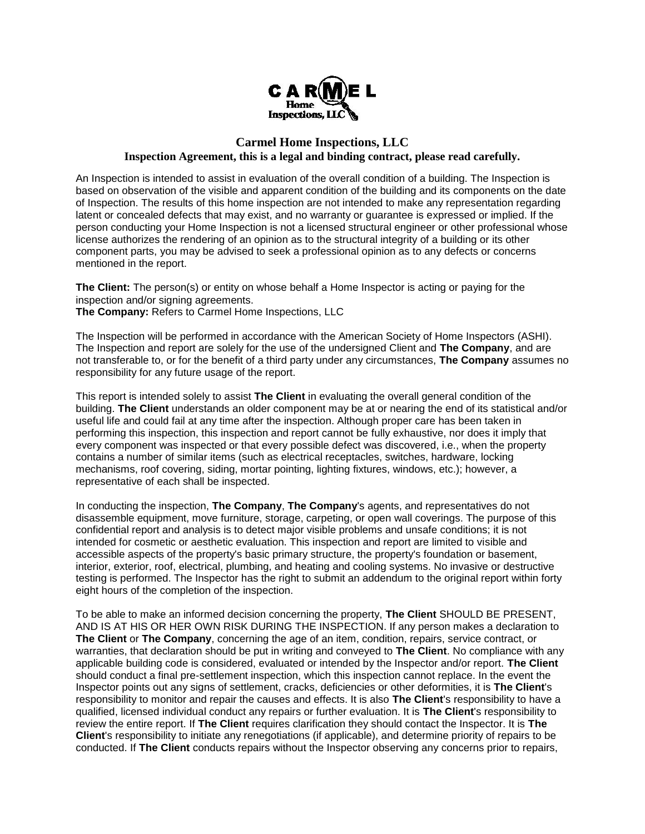

## **Carmel Home Inspections, LLC Inspection Agreement, this is a legal and binding contract, please read carefully.**

An Inspection is intended to assist in evaluation of the overall condition of a building. The Inspection is based on observation of the visible and apparent condition of the building and its components on the date of Inspection. The results of this home inspection are not intended to make any representation regarding latent or concealed defects that may exist, and no warranty or guarantee is expressed or implied. If the person conducting your Home Inspection is not a licensed structural engineer or other professional whose license authorizes the rendering of an opinion as to the structural integrity of a building or its other component parts, you may be advised to seek a professional opinion as to any defects or concerns mentioned in the report.

**The Client:** The person(s) or entity on whose behalf a Home Inspector is acting or paying for the inspection and/or signing agreements.

**The Company:** Refers to Carmel Home Inspections, LLC

The Inspection will be performed in accordance with the American Society of Home Inspectors (ASHI). The Inspection and report are solely for the use of the undersigned Client and **The Company**, and are not transferable to, or for the benefit of a third party under any circumstances, **The Company** assumes no responsibility for any future usage of the report.

This report is intended solely to assist **The Client** in evaluating the overall general condition of the building. **The Client** understands an older component may be at or nearing the end of its statistical and/or useful life and could fail at any time after the inspection. Although proper care has been taken in performing this inspection, this inspection and report cannot be fully exhaustive, nor does it imply that every component was inspected or that every possible defect was discovered, i.e., when the property contains a number of similar items (such as electrical receptacles, switches, hardware, locking mechanisms, roof covering, siding, mortar pointing, lighting fixtures, windows, etc.); however, a representative of each shall be inspected.

In conducting the inspection, **The Company**, **The Company**'s agents, and representatives do not disassemble equipment, move furniture, storage, carpeting, or open wall coverings. The purpose of this confidential report and analysis is to detect major visible problems and unsafe conditions; it is not intended for cosmetic or aesthetic evaluation. This inspection and report are limited to visible and accessible aspects of the property's basic primary structure, the property's foundation or basement, interior, exterior, roof, electrical, plumbing, and heating and cooling systems. No invasive or destructive testing is performed. The Inspector has the right to submit an addendum to the original report within forty eight hours of the completion of the inspection.

To be able to make an informed decision concerning the property, **The Client** SHOULD BE PRESENT, AND IS AT HIS OR HER OWN RISK DURING THE INSPECTION. If any person makes a declaration to **The Client** or **The Company**, concerning the age of an item, condition, repairs, service contract, or warranties, that declaration should be put in writing and conveyed to **The Client**. No compliance with any applicable building code is considered, evaluated or intended by the Inspector and/or report. **The Client** should conduct a final pre-settlement inspection, which this inspection cannot replace. In the event the Inspector points out any signs of settlement, cracks, deficiencies or other deformities, it is **The Client**'s responsibility to monitor and repair the causes and effects. It is also **The Client**'s responsibility to have a qualified, licensed individual conduct any repairs or further evaluation. It is **The Client**'s responsibility to review the entire report. If **The Client** requires clarification they should contact the Inspector. It is **The Client**'s responsibility to initiate any renegotiations (if applicable), and determine priority of repairs to be conducted. If **The Client** conducts repairs without the Inspector observing any concerns prior to repairs,